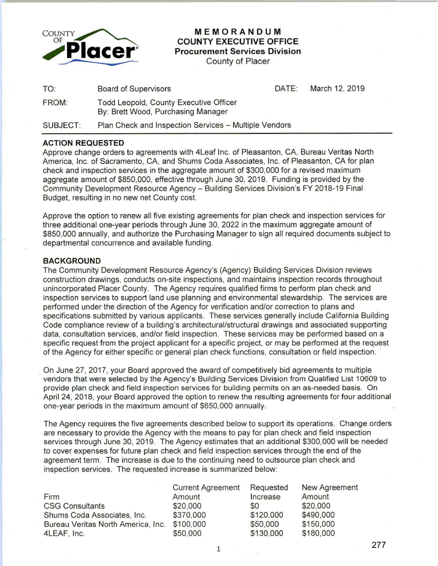

## **MEMORANDUM COUNTY EXECUTIVE OFFICE Procurement Services Division**

County of Placer

| TO:      | <b>Board of Supervisors</b>                                                  | DATE: | March 12, 2019 |
|----------|------------------------------------------------------------------------------|-------|----------------|
| FROM:    | Todd Leopold, County Executive Officer<br>By: Brett Wood, Purchasing Manager |       |                |
| SUBJECT: | Plan Check and Inspection Services - Multiple Vendors                        |       |                |

## **ACTION REQUESTED**

Approve change orders to agreements with 4Leaf Inc. of Pleasanton, CA, Bureau Veritas North America, Inc. of Sacramento, CA, and Shums Coda Associates, Inc. of Pleasanton, CA for plan check and inspection services in the aggregate amount of \$300,000 for a revised maximum aggregate amount of \$850,000, effective through June 30, 2019. Funding is provided by the Community Development Resource Agency- Building Services Division's FY 2018-19 Final Budget, resulting in no new net County cost.

Approve the option to renew all five existing agreements for plan check and inspection services for three additional one-year periods through June 30, 2022 in the maximum aggregate amount of \$850,000 annually, and authorize the Purchasing Manager to sign all required documents subject to departmental concurrence and available funding.

## **BACKGROUND**

The Community Development Resource Agency's (Agency) Building Services Division reviews construction drawings, conducts on-site inspections, and maintains inspection records throughout unincorporated Placer County. The Agency requires qualified firms to perform plan check and inspection services to support land use planning and environmental stewardship. The services are performed under the direction of the Agency for verification and/or correction to plans and specifications submitted by various applicants. These services generally include California Building Code compliance review of a building's architectural/structural drawings and associated supporting data, consultation services, and/or field inspection. These services may be performed based on a specific request from the project applicant for a specific project, or may be performed at the request of the Agency for either specific or general plan check functions, consultation or field inspection.

On June 27, 2017, your Board approved the award of competitively bid agreements to multiple vendors that were selected by the Agency's Building Services Division from Qualified List 10609 to provide plan check and field inspection services for building permits on an as-needed basis. On April 24, 2018, your Board approved the option to renew the resulting agreements for four additional one-year periods in the maximum amount of \$650,000 annually.

The Agency requires the five agreements described below to support its operations. Change orders are necessary to provide the Agency with the means to pay for plan check and field inspection services through June 30, 2019. The Agency estimates that an additional \$300,000 will be needed to cover expenses for future plan check and field inspection services through the end of the agreement term. The increase is due to the continuing need to outsource plan check and inspection services. The requested increase is summarized below:

|                                    | <b>Current Agreement</b> | Requested | New Agreement |
|------------------------------------|--------------------------|-----------|---------------|
| Firm                               | Amount                   | Increase  | Amount        |
| <b>CSG Consultants</b>             | \$20,000                 | \$0       | \$20,000      |
| Shums Coda Associates, Inc.        | \$370,000                | \$120,000 | \$490,000     |
| Bureau Veritas North America, Inc. | \$100,000                | \$50,000  | \$150,000     |
| 4LEAF, Inc.                        | \$50,000                 | \$130,000 | \$180,000     |